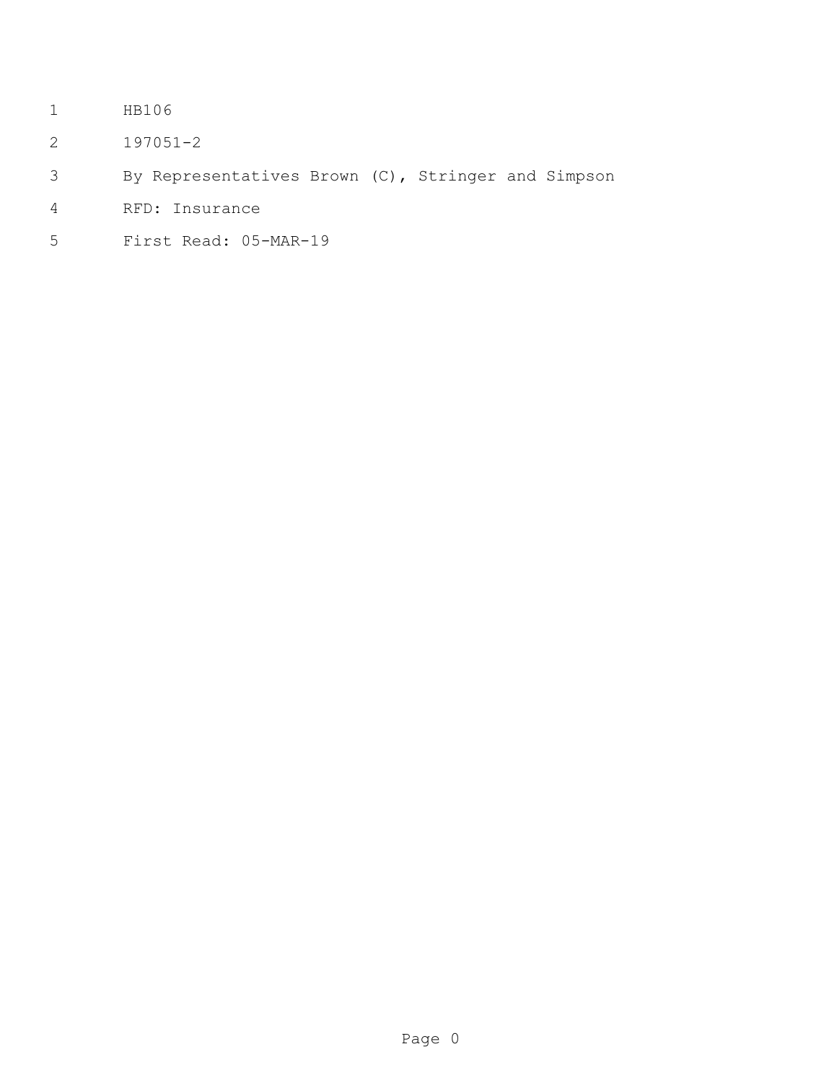- HB106
- 197051-2
- By Representatives Brown (C), Stringer and Simpson
- RFD: Insurance
- First Read: 05-MAR-19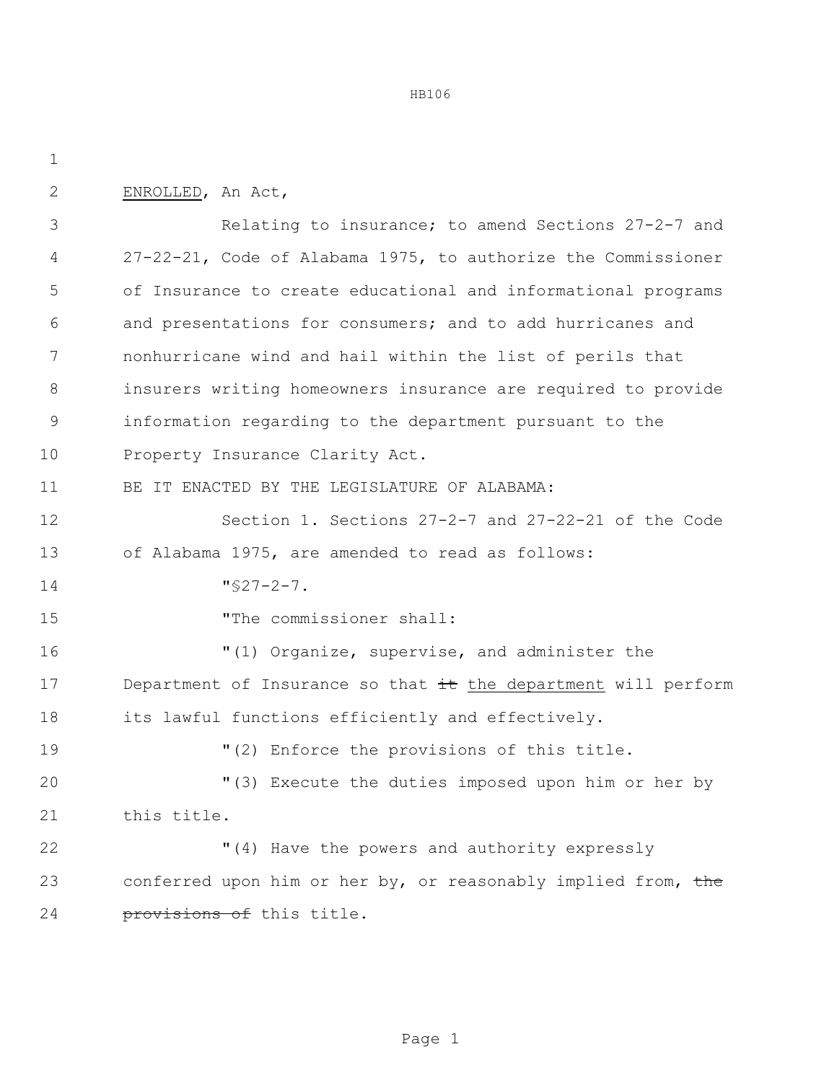HB106

| $\mathbf{2}$ | ENROLLED, An Act,                                              |
|--------------|----------------------------------------------------------------|
| 3            | Relating to insurance; to amend Sections 27-2-7 and            |
| 4            | 27-22-21, Code of Alabama 1975, to authorize the Commissioner  |
| 5            | of Insurance to create educational and informational programs  |
| 6            | and presentations for consumers; and to add hurricanes and     |
| 7            | nonhurricane wind and hail within the list of perils that      |
| 8            | insurers writing homeowners insurance are required to provide  |
| 9            | information regarding to the department pursuant to the        |
| 10           | Property Insurance Clarity Act.                                |
| 11           | BE IT ENACTED BY THE LEGISLATURE OF ALABAMA:                   |
| 12           | Section 1. Sections 27-2-7 and 27-22-21 of the Code            |
| 13           | of Alabama 1975, are amended to read as follows:               |
| 14           | $\sqrt{527-2}-7$ .                                             |
| 15           | "The commissioner shall:                                       |
| 16           | "(1) Organize, supervise, and administer the                   |
| 17           | Department of Insurance so that it the department will perform |
| 18           | its lawful functions efficiently and effectively.              |
| 19           | "(2) Enforce the provisions of this title.                     |
| 20           | "(3) Execute the duties imposed upon him or her by             |
| 21           | this title.                                                    |
| 22           | "(4) Have the powers and authority expressly                   |
| 23           | conferred upon him or her by, or reasonably implied from, the  |
| 24           | provisions of this title.                                      |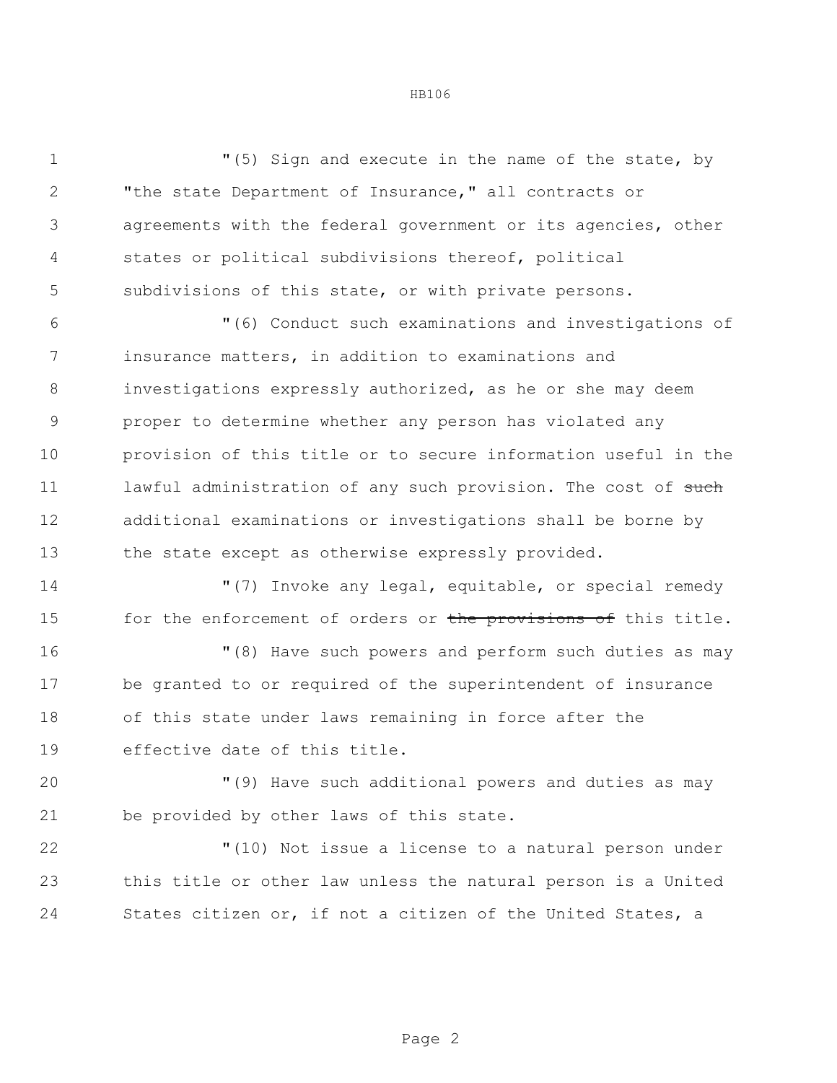"(5) Sign and execute in the name of the state, by "the state Department of Insurance," all contracts or agreements with the federal government or its agencies, other states or political subdivisions thereof, political subdivisions of this state, or with private persons. "(6) Conduct such examinations and investigations of insurance matters, in addition to examinations and investigations expressly authorized, as he or she may deem proper to determine whether any person has violated any

 provision of this title or to secure information useful in the 11 lawful administration of any such provision. The cost of such additional examinations or investigations shall be borne by 13 the state except as otherwise expressly provided.

 "(7) Invoke any legal, equitable, or special remedy 15 for the enforcement of orders or the provisions of this title.

 "(8) Have such powers and perform such duties as may be granted to or required of the superintendent of insurance of this state under laws remaining in force after the effective date of this title.

 "(9) Have such additional powers and duties as may be provided by other laws of this state.

 "(10) Not issue a license to a natural person under this title or other law unless the natural person is a United States citizen or, if not a citizen of the United States, a

HB106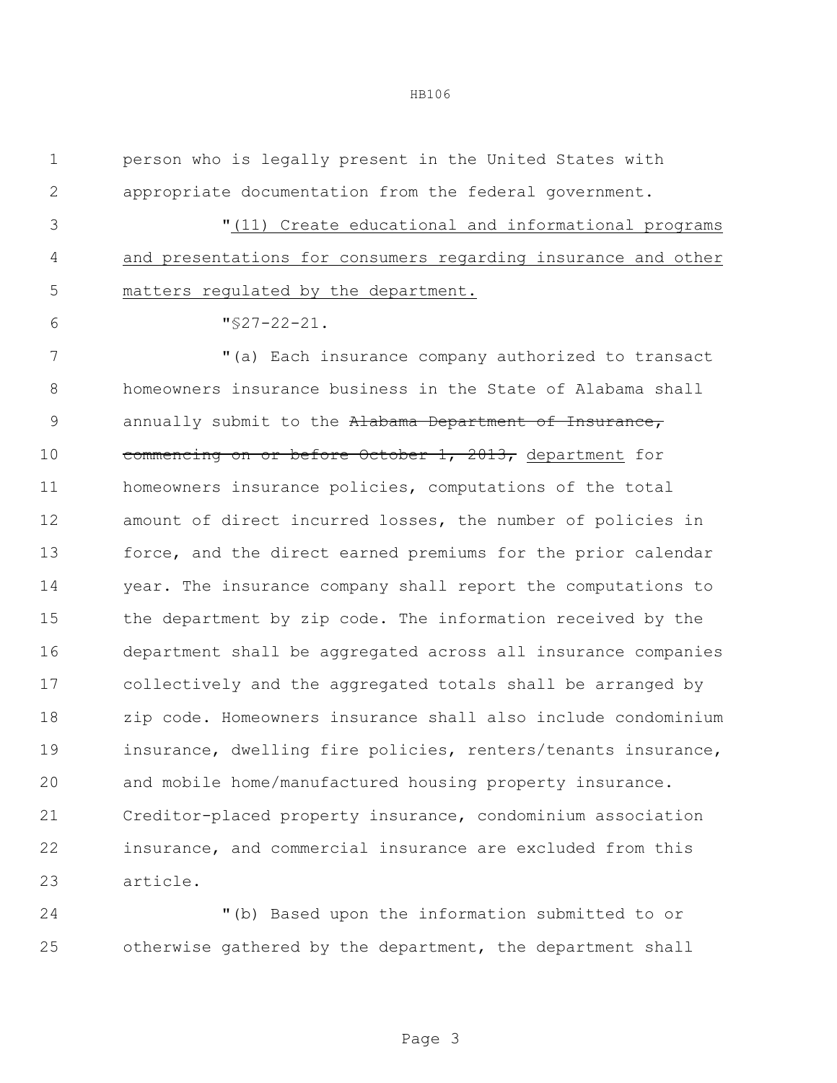person who is legally present in the United States with appropriate documentation from the federal government.

 "(11) Create educational and informational programs and presentations for consumers regarding insurance and other matters regulated by the department.

"§27-22-21.

 "(a) Each insurance company authorized to transact homeowners insurance business in the State of Alabama shall 9 annually submit to the Alabama Department of Insurance, 10 commencing on or before October 1, 2013, department for homeowners insurance policies, computations of the total amount of direct incurred losses, the number of policies in force, and the direct earned premiums for the prior calendar year. The insurance company shall report the computations to the department by zip code. The information received by the department shall be aggregated across all insurance companies collectively and the aggregated totals shall be arranged by zip code. Homeowners insurance shall also include condominium insurance, dwelling fire policies, renters/tenants insurance, and mobile home/manufactured housing property insurance. Creditor-placed property insurance, condominium association insurance, and commercial insurance are excluded from this article.

 "(b) Based upon the information submitted to or otherwise gathered by the department, the department shall

## HB106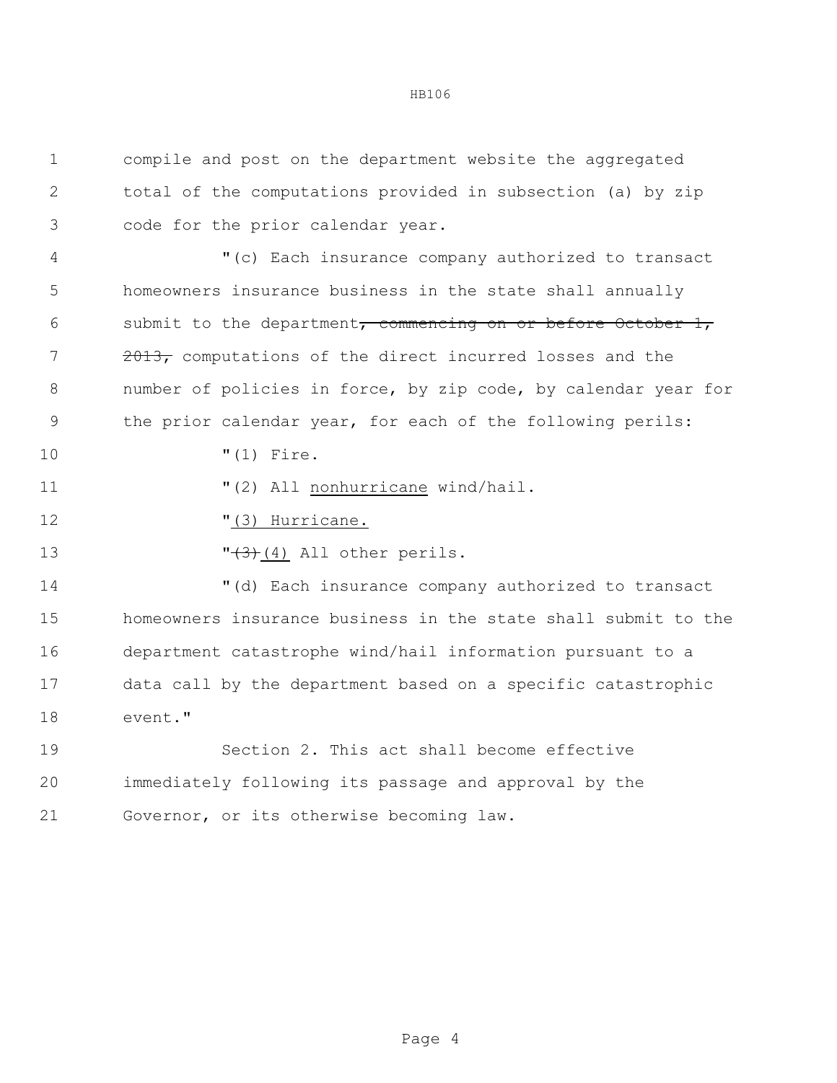HB106

 compile and post on the department website the aggregated total of the computations provided in subsection (a) by zip code for the prior calendar year. "(c) Each insurance company authorized to transact homeowners insurance business in the state shall annually 6 submit to the department, commencing on or before October , 7 2013, computations of the direct incurred losses and the number of policies in force, by zip code, by calendar year for the prior calendar year, for each of the following perils: "(1) Fire.  $(2)$  All nonhurricane wind/hail.  $(3)$  Hurricane.  $\sqrt{3}$  (4) All other perils. "(d) Each insurance company authorized to transact homeowners insurance business in the state shall submit to the department catastrophe wind/hail information pursuant to a data call by the department based on a specific catastrophic event." Section 2. This act shall become effective

 immediately following its passage and approval by the Governor, or its otherwise becoming law.